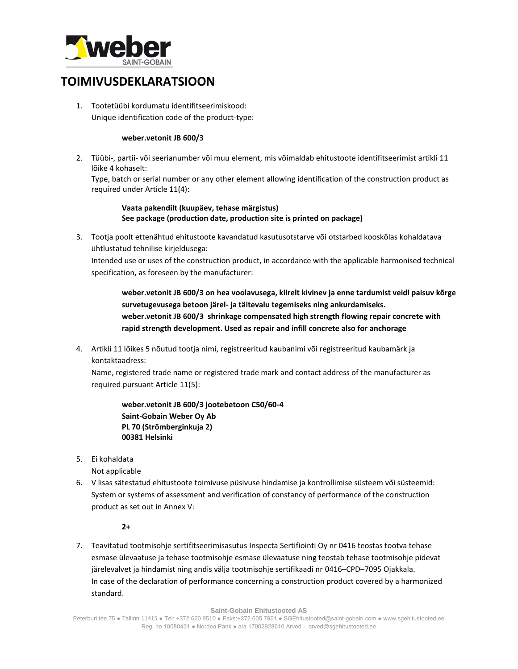

## **TOIMIVUSDEKLARATSIOON**

1. Tootetüübi kordumatu identifitseerimiskood: Unique identification code of the product-type:

## **weber.vetonit JB 600/3**

2. Tüübi-, partii- või seerianumber või muu element, mis võimaldab ehitustoote identifitseerimist artikli 11 lõike 4 kohaselt:

Type, batch or serial number or any other element allowing identification of the construction product as required under Article 11(4):

## **Vaata pakendilt (kuupäev, tehase märgistus) See package (production date, production site is printed on package)**

3. Tootja poolt ettenähtud ehitustoote kavandatud kasutusotstarve või otstarbed kooskõlas kohaldatava ühtlustatud tehnilise kirjeldusega:

Intended use or uses of the construction product, in accordance with the applicable harmonised technical specification, as foreseen by the manufacturer:

**weber.vetonit JB 600/3 on hea voolavusega, kiirelt kivinev ja enne tardumist veidi paisuv kõrge survetugevusega betoon järel- ja täitevalu tegemiseks ning ankurdamiseks. weber.vetonit JB 600/3 shrinkage compensated high strength flowing repair concrete with rapid strength development. Used as repair and infill concrete also for anchorage** 

4. Artikli 11 lõikes 5 nõutud tootja nimi, registreeritud kaubanimi või registreeritud kaubamärk ja kontaktaadress:

Name, registered trade name or registered trade mark and contact address of the manufacturer as required pursuant Article 11(5):

**weber.vetonit JB 600/3 jootebetoon C50/60-4 Saint-Gobain Weber Oy Ab PL 70 (Strömberginkuja 2) 00381 Helsinki**

5. Ei kohaldata

Not applicable

6. V lisas sätestatud ehitustoote toimivuse püsivuse hindamise ja kontrollimise süsteem või süsteemid: System or systems of assessment and verification of constancy of performance of the construction product as set out in Annex V:

## **2+**

7. Teavitatud tootmisohje sertifitseerimisasutus Inspecta Sertifiointi Oy nr 0416 teostas tootva tehase esmase ülevaatuse ja tehase tootmisohje esmase ülevaatuse ning teostab tehase tootmisohje pidevat järelevalvet ja hindamist ning andis välja tootmisohje sertifikaadi nr 0416–CPD–7095 Ojakkala. In case of the declaration of performance concerning a construction product covered by a harmonized standard.